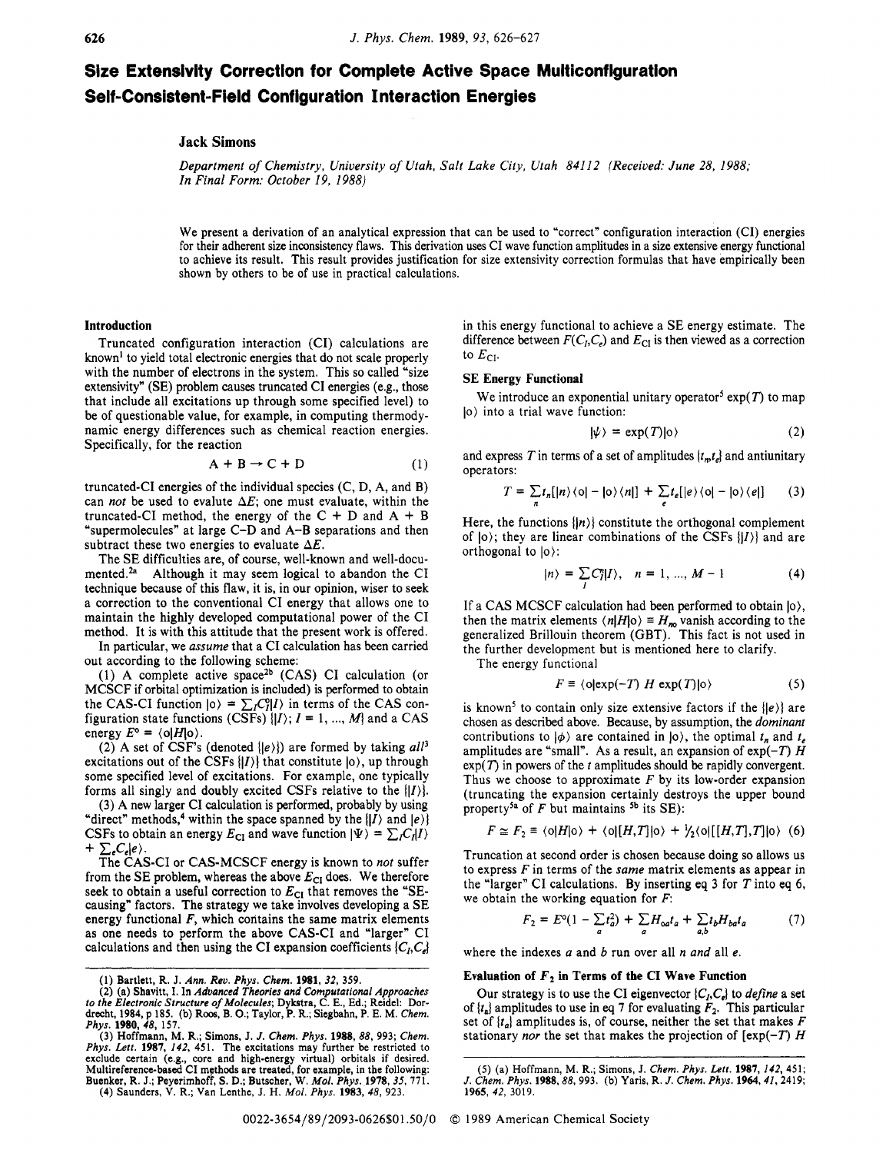# **Size Extensivity Correctlon for Complete Active Space Multiconflguration Self-Consistent-Field Configuration Interaction Energies**

## **Jack Simons**

*Department of Chemistry, University of Utah, Salt Lake City, Utah 84112 (Received: June 28, 1988; In Final Form: October 19, 1988)* 

We present a derivation of an analytical expression that can be used to "correct" configuration interaction **(CI)** energies for their adherent size inconsistency flaws. **This** derivation uses CI wave function amplitudes in a size extensive energy functional to achieve its result. This result provides justification for size extensivity correction formulas that have empirically been shown by others to be of use in practical calculations.

#### **Introduction**

Truncated configuration interaction (CI) calculations are known' to yield total electronic energies that do not scale properly with the number of electrons in the system. This so called "size" extensivity" **(SE)** problem causes truncated CI energies (e.g., those that include all excitations up through some specified level) to be of questionable value, for example, in computing thermodynamic energy differences such as chemical reaction energies. Specifically, for the reaction

$$
A + B \rightarrow C + D \tag{1}
$$

truncated-CI energies of the individual species (C, D, A, and B) can *not* be used to evalute *AE;* one must evaluate, within the truncated-CI method, the energy of the  $C + D$  and  $A + B$ "supermolecules" at large C-D and A-B separations and then subtract these two energies to evaluate  $\Delta E$ .

The **SE** difficulties are, of course, well-known and well-documented.<sup>2a</sup> Although it may seem logical to abandon the CI technique because of this flaw, it is, in our opinion, wiser to seek a correction to the conventional CI energy that allows one to maintain the highly developed computational power of the CI method. It is with this attitude that the present work is offered.

In particular, we *assume* that a CI calculation has been carried out according to the following scheme:

(1) A complete active space<sup>2b</sup> (CAS) CI calculation (or MCSCF if orbital optimization is included) is performed to obtain the CAS-CI function  $|0\rangle = \sum_{I} C_{I}^{S} |I\rangle$  in terms of the CAS configuration state functions  $(C\overline{SF}_S)^{1}|I\rangle$ ;  $I = 1, ..., M$ } and a CAS energy  $E^{\circ} = \langle 0 | H | 0 \rangle$ .

**(2)** A set of CSF's (denoted *(le)])* are formed by taking *all3*  excitations out of the CSFs  $\{ |I\rangle \}$  that constitute  $|o\rangle$ , up through some specified level of excitations. For example, one typically forms all singly and doubly excited CSFs relative to the  $|I\rangle$ .

(3) A new larger CI calculation is performed, probably by using "direct" methods,<sup>4</sup> within the space spanned by the  $|I\rangle$  and  $|e\rangle$ } CSFs to obtain an energy  $E_{CI}$  and wave function  $|\Psi\rangle = \sum_i C_i |I\rangle$  $+ \sum_{e} C_{e} |e\rangle$ .

The CAS-CI or CAS-MCSCF energy is known to *not* suffer from the SE problem, whereas the above  $E_{CI}$  does. We therefore seek to obtain a useful correction to  $E_{CI}$  that removes the "SEcausing" factors. The strategy we take involves developing a SE energy functional *F,* which contains the same matrix elements as one needs to perform the above CAS-CI and "larger" CI calculations and then using the CI expansion coefficients  $\{C_i, C_j\}$ 

in this energy functional to achieve a SE energy estimate. The difference between  $F(C_h, C_e)$  and  $E_{\text{CI}}$  is then viewed as a correction to  $E_{\text{CI}}$ .

#### **SE Energy Functional**

lo) into a trial wave function: We introduce an exponential unitary operator<sup>5</sup>  $exp(T)$  to map

$$
|\psi\rangle = \exp(T)|0\rangle \tag{2}
$$

and express *T* in terms of a set of amplitudes  $\{t_n, t_n\}$  and antiunitary operators:

$$
T = \sum_{n} t_n [|n\rangle \langle 0| - |0\rangle \langle n|] + \sum_{e} t_e [|e\rangle \langle 0| - |0\rangle \langle e|]
$$
 (3)

Here, the functions  $\{|n\rangle\}$  constitute the orthogonal complement of  $|0\rangle$ ; they are linear combinations of the CSFs  $\{|I\rangle\}$  and are orthogonal to  $|0\rangle$ :

$$
|n\rangle = \sum_{I} C_{I}^{n} |I\rangle, \quad n = 1, ..., M - 1
$$
 (4)

If a CAS MCSCF calculation had been performed to obtain  $|0\rangle$ , then the matrix elements  $\langle n|H|0 \rangle \equiv H_{n0}$  vanish according to the generalized Brillouin theorem (GBT). This fact is not used in the further development but is mentioned here to clarify.

The energy functional

$$
F \equiv \langle o| \exp(-T) \ H \exp(T) | o \rangle \tag{5}
$$

is known<sup>5</sup> to contain only size extensive factors if the  $\{ |e\rangle \}$  are chosen as described above. Because, by assumption, the *dominant*  contributions to  $|\phi\rangle$  are contained in  $|0\rangle$ , the optimal  $t_n$  and  $t_e$ amplitudes are "small". As a result, an expansion of  $exp(-T)$  *H*  $exp(T)$  in powers of the  $t$  amplitudes should be rapidly convergent. Thus we choose to approximate *F* by its low-order expansion (truncating the expansion certainly destroys the upper bound property<sup>5a</sup> of  $F$  but maintains <sup>5b</sup> its SE):

$$
F \simeq F_2 \equiv \langle 0|H|0 \rangle + \langle 0|[H,T]|0 \rangle + \frac{1}{2}\langle 0|[H,T],T]|0 \rangle \tag{6}
$$

Truncation at second order is chosen because doing so allows us to express Fin terms of the *same* matrix elements as appear in the "larger" CI calculations. By inserting eq 3 for *T* into eq 6, we obtain the working equation for *F*:

$$
F_2 = E^o(1 - \sum_a t_a^2) + \sum_a H_{oa}t_a + \sum_{a,b} t_b H_{ba}t_a \tag{7}
$$

where the indexes *a* and *b* run over all *n and* all *e.* 

## Evaluation of  $F_2$  in Terms of the CI Wave Function

Our strategy is to use the CI eigenvector  $\{C_I, C_e\}$  to *define* a set of  $\{t_a\}$  amplitudes to use in eq 7 for evaluating  $F_2$ . This particular set of  $\{t_a\}$  amplitudes is, of course, neither the set that makes  $F$ stationary *nor* the set that makes the projection of  $[exp(-T) H]$ 

**<sup>(1)</sup>** Bartlett, R. J. Ann. *Rev. Phys. Chem.* **1981, 32, 359.** 

<sup>(2)</sup> **(a)** Shavitt, I. In *Advanced Theories and Computational Approaches*  t*o the Electronic Structure of Molecules*; Dykstra, C. E., Ed.; Reidel: Dor-<br>drecht, 1984, p 185. (b) Roos, B. O.; Taylor, P. R.; Siegbahn, P. E. M. *Chem.* 

Phys. 1980, 48, 157.<br>
(3) Hoffmann, M. R.; Simons, J. J. Chem. Phys. 1988, 88, 993; Chem.<br>
Phys. Lett. 1987, 142, 451. The excitations may further be restricted to<br>
exclude certain (e.g., core and high-energy virtual) orb Buenker, R. J.; Peyerimhoff, S. D.; Butscher, W. *Mol. Phys.* **1978**, 35, 771. **(4)** Saunders, V. R.; Van Lenthe, J. H. *Mol. Phys.* **1983**, 48, 923.

*<sup>(5)</sup>* (a) Hoffmann, M. R.; Simons, **J.** *Chem. Phys. Lett.* **1987, 142,451;**  *J. Chem. Phys.* **1988,88,993.** (b) Yaris, R. J. *Chem. Phys.* **1964,41,2419; 1965, 42, 3019.**